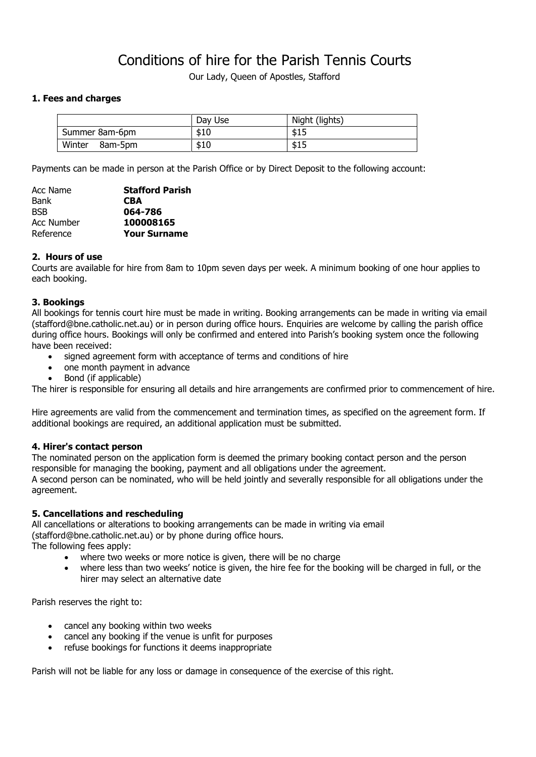# Conditions of hire for the Parish Tennis Courts

Our Lady, Queen of Apostles, Stafford

# **1. Fees and charges**

|                   | Day Use | Night (lights) |
|-------------------|---------|----------------|
| Summer 8am-6pm    | \$10    | \$15           |
| Winter<br>8am-5pm | \$10    | \$15           |

Payments can be made in person at the Parish Office or by Direct Deposit to the following account:

| Acc Name          | <b>Stafford Parish</b> |
|-------------------|------------------------|
| <b>Bank</b>       | <b>CBA</b>             |
| <b>BSB</b>        | 064-786                |
| <b>Acc Number</b> | 100008165              |
| Reference         | <b>Your Surname</b>    |
|                   |                        |

#### **2. Hours of use**

Courts are available for hire from 8am to 10pm seven days per week. A minimum booking of one hour applies to each booking.

#### **3. Bookings**

All bookings for tennis court hire must be made in writing. Booking arrangements can be made in writing via email (stafford@bne.catholic.net.au) or in person during office hours. Enquiries are welcome by calling the parish office during office hours. Bookings will only be confirmed and entered into Parish's booking system once the following have been received:

- signed agreement form with acceptance of terms and conditions of hire
- one month payment in advance
- Bond (if applicable)

The hirer is responsible for ensuring all details and hire arrangements are confirmed prior to commencement of hire.

Hire agreements are valid from the commencement and termination times, as specified on the agreement form. If additional bookings are required, an additional application must be submitted.

# **4. Hirer's contact person**

The nominated person on the application form is deemed the primary booking contact person and the person responsible for managing the booking, payment and all obligations under the agreement. A second person can be nominated, who will be held jointly and severally responsible for all obligations under the agreement.

# **5. Cancellations and rescheduling**

All cancellations or alterations to booking arrangements can be made in writing via email (stafford@bne.catholic.net.au) or by phone during office hours.

The following fees apply:

- where two weeks or more notice is given, there will be no charge
- where less than two weeks' notice is given, the hire fee for the booking will be charged in full, or the hirer may select an alternative date

Parish reserves the right to:

- cancel any booking within two weeks
- cancel any booking if the venue is unfit for purposes
- refuse bookings for functions it deems inappropriate

Parish will not be liable for any loss or damage in consequence of the exercise of this right.